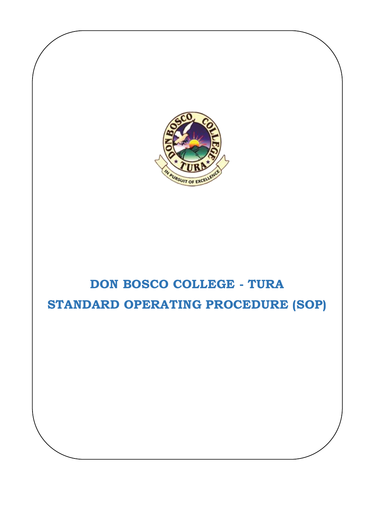

# **DON BOSCO COLLEGE - TURA STANDARD OPERATING PROCEDURE (SOP)**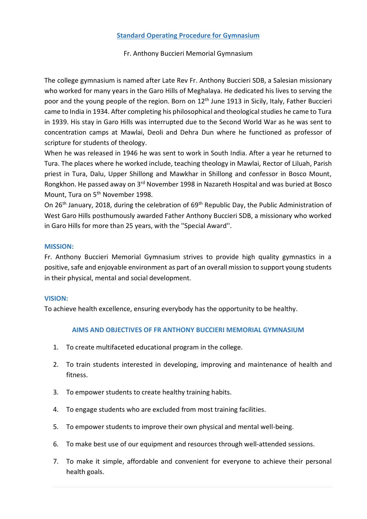### **Standard Operating Procedure for Gymnasium**

## Fr. Anthony Buccieri Memorial Gymnasium

The college gymnasium is named after Late Rev Fr. Anthony Buccieri SDB, a Salesian missionary who worked for many years in the Garo Hills of Meghalaya. He dedicated his lives to serving the poor and the young people of the region. Born on 12<sup>th</sup> June 1913 in Sicily, Italy, Father Buccieri came to India in 1934. After completing his philosophical and theological studies he came to Tura in 1939. His stay in Garo Hills was interrupted due to the Second World War as he was sent to concentration camps at Mawlai, Deoli and Dehra Dun where he functioned as professor of scripture for students of theology.

When he was released in 1946 he was sent to work in South India. After a year he returned to Tura. The places where he worked include, teaching theology in Mawlai, Rector of Liluah, Parish priest in Tura, Dalu, Upper Shillong and Mawkhar in Shillong and confessor in Bosco Mount, Rongkhon. He passed away on 3rd November 1998 in Nazareth Hospital and was buried at Bosco Mount, Tura on 5<sup>th</sup> November 1998.

On 26th January, 2018, during the celebration of 69th Republic Day, the Public Administration of West Garo Hills posthumously awarded Father Anthony Buccieri SDB, a missionary who worked in Garo Hills for more than 25 years, with the ''Special Award''.

#### **MISSION:**

Fr. Anthony Buccieri Memorial Gymnasium strives to provide high quality gymnastics in a positive, safe and enjoyable environment as part of an overall mission to support young students in their physical, mental and social development.

#### **VISION:**

To achieve health excellence, ensuring everybody has the opportunity to be healthy.

#### **AIMS AND OBJECTIVES OF FR ANTHONY BUCCIERI MEMORIAL GYMNASIUM**

- 1. To create multifaceted educational program in the college.
- 2. To train students interested in developing, improving and maintenance of health and fitness.
- 3. To empower students to create healthy training habits.
- 4. To engage students who are excluded from most training facilities.
- 5. To empower students to improve their own physical and mental well-being.
- 6. To make best use of our equipment and resources through well-attended sessions.
- 7. To make it simple, affordable and convenient for everyone to achieve their personal health goals.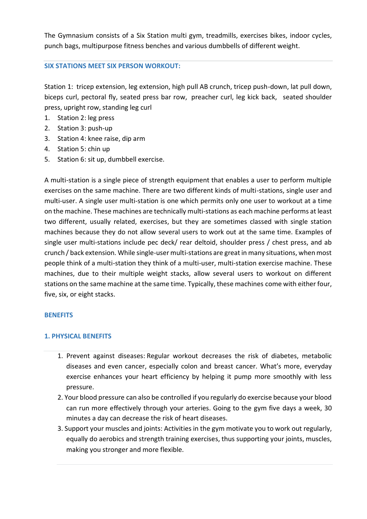The Gymnasium consists of a Six Station multi gym, treadmills, exercises bikes, indoor cycles, punch bags, multipurpose fitness benches and various dumbbells of different weight.

### **SIX STATIONS MEET SIX PERSON WORKOUT:**

Station 1: tricep extension, leg extension, high pull AB crunch, tricep push-down, lat pull down, biceps curl, pectoral fly, seated press bar row, preacher curl, leg kick back, seated shoulder press, upright row, standing leg curl

- 1. Station 2: leg press
- 2. Station 3: push-up
- 3. Station 4: knee raise, dip arm
- 4. Station 5: chin up
- 5. Station 6: sit up, dumbbell exercise.

A multi-station is a single piece of strength equipment that enables a user to perform multiple exercises on the same machine. There are two different kinds of multi-stations, single user and multi-user. A single user multi-station is one which permits only one user to workout at a time on the machine. These machines are technically multi-stations as each machine performs at least two different, usually related, exercises, but they are sometimes classed with single station machines because they do not allow several users to work out at the same time. Examples of single user multi-stations include pec deck/ rear deltoid, shoulder press / chest press, and ab crunch / back extension. While single-user multi-stations are great in many situations, when most people think of a multi-station they think of a multi-user, multi-station exercise machine. These machines, due to their multiple weight stacks, allow several users to workout on different stations on the same machine at the same time. Typically, these machines come with either four, five, six, or eight stacks.

# **BENEFITS**

# **1. PHYSICAL BENEFITS**

- 1. Prevent against diseases: Regular workout decreases the risk of diabetes, metabolic diseases and even cancer, especially colon and breast cancer. What's more, everyday exercise enhances your heart efficiency by helping it pump more smoothly with less pressure.
- 2. Your blood pressure can also be controlled if you regularly do exercise because your blood can run more effectively through your arteries. Going to the gym five days a week, 30 minutes a day can decrease the risk of heart diseases.
- 3. Support your muscles and joints: Activities in the gym motivate you to work out regularly, equally do aerobics and strength training exercises, thus supporting your joints, muscles, making you stronger and more flexible.